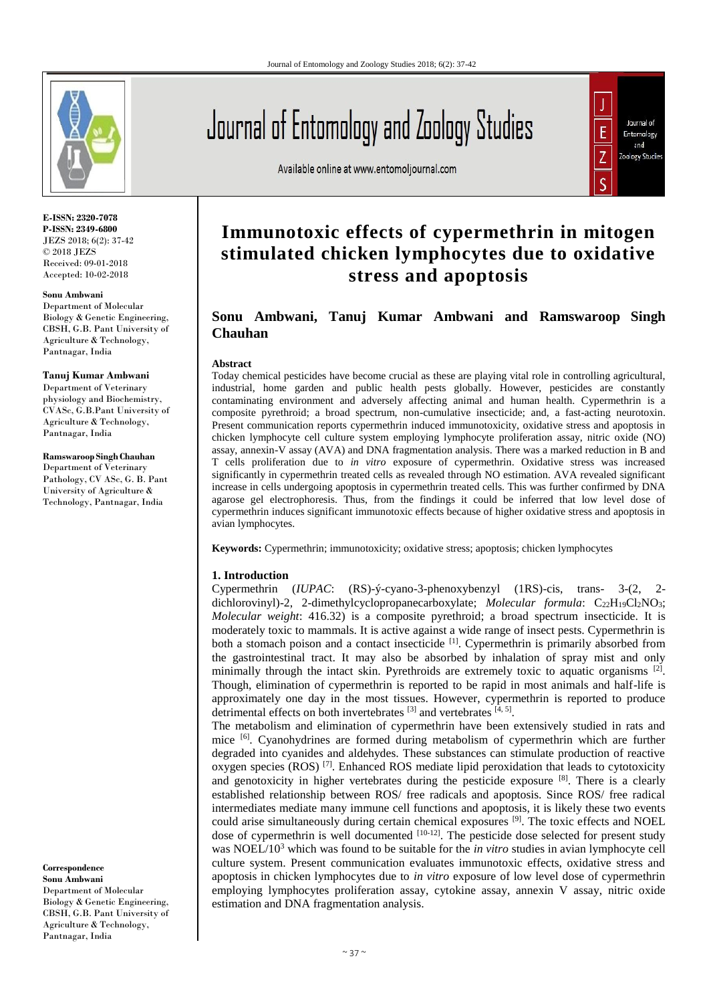

**E-ISSN: 2320-7078 P-ISSN: 2349-6800** JEZS 2018; 6(2): 37-42 © 2018 JEZS Received: 09-01-2018 Accepted: 10-02-2018

#### **Sonu Ambwani**

Department of Molecular Biology & Genetic Engineering, CBSH, G.B. Pant University of Agriculture & Technology, Pantnagar, India

#### **Tanuj Kumar Ambwani**

Department of Veterinary physiology and Biochemistry, CVASc, G.B.Pant University of Agriculture & Technology, Pantnagar, India

#### **Ramswaroop Singh Chauhan**

Department of Veterinary Pathology, CV ASc, G. B. Pant University of Agriculture & Technology, Pantnagar, India

**Correspondence Sonu Ambwani** Department of Molecular Biology & Genetic Engineering, CBSH, G.B. Pant University of Agriculture & Technology, Pantnagar, India

# Journal of Entomology and Zoology Studies

Available online at www.entomoljournal.com



# **Immunotoxic effects of cypermethrin in mitogen stimulated chicken lymphocytes due to oxidative stress and apoptosis**

# **Sonu Ambwani, Tanuj Kumar Ambwani and Ramswaroop Singh Chauhan**

#### **Abstract**

Today chemical pesticides have become crucial as these are playing vital role in controlling agricultural, industrial, home garden and public health pests globally. However, pesticides are constantly contaminating environment and adversely affecting animal and human health. Cypermethrin is a composite pyrethroid; a broad spectrum, non-cumulative insecticide; and, a fast-acting neurotoxin. Present communication reports cypermethrin induced immunotoxicity, oxidative stress and apoptosis in chicken lymphocyte cell culture system employing lymphocyte proliferation assay, nitric oxide (NO) assay, annexin-V assay (AVA) and DNA fragmentation analysis. There was a marked reduction in B and T cells proliferation due to *in vitro* exposure of cypermethrin. Oxidative stress was increased significantly in cypermethrin treated cells as revealed through NO estimation. AVA revealed significant increase in cells undergoing apoptosis in cypermethrin treated cells. This was further confirmed by DNA agarose gel electrophoresis. Thus, from the findings it could be inferred that low level dose of cypermethrin induces significant immunotoxic effects because of higher oxidative stress and apoptosis in avian lymphocytes.

**Keywords:** Cypermethrin; immunotoxicity; oxidative stress; apoptosis; chicken lymphocytes

#### **1. Introduction**

Cypermethrin (*IUPAC*: (RS)-ý-cyano-3-phenoxybenzyl (1RS)-cis, trans- 3-(2, 2 dichlorovinyl)-2, 2-dimethylcyclopropanecarboxylate; *Molecular formula*: C<sub>22</sub>H<sub>19</sub>Cl<sub>2</sub>NO<sub>3</sub>; *Molecular weight*: 416.32) is a composite pyrethroid; a broad spectrum insecticide. It is moderately toxic to mammals. It is active against a wide range of insect pests. Cypermethrin is both a stomach poison and a contact insecticide <sup>[1]</sup>. Cypermethrin is primarily absorbed from the gastrointestinal tract. It may also be absorbed by inhalation of spray mist and only minimally through the intact skin. Pyrethroids are extremely toxic to aquatic organisms  $[2]$ . Though, elimination of cypermethrin is reported to be rapid in most animals and half-life is approximately one day in the most tissues. However, cypermethrin is reported to produce detrimental effects on both invertebrates  $[3]$  and vertebrates  $[4, 5]$ .

The metabolism and elimination of cypermethrin have been extensively studied in rats and mice [6]. Cyanohydrines are formed during metabolism of cypermethrin which are further degraded into cyanides and aldehydes. These substances can stimulate production of reactive oxygen species ( $ROS$ )  $^{[7]}$ . Enhanced ROS mediate lipid peroxidation that leads to cytotoxicity and genotoxicity in higher vertebrates during the pesticide exposure [8]. There is a clearly established relationship between ROS/ free radicals and apoptosis. Since ROS/ free radical intermediates mediate many immune cell functions and apoptosis, it is likely these two events could arise simultaneously during certain chemical exposures [9]. The toxic effects and NOEL dose of cypermethrin is well documented  $[10-12]$ . The pesticide dose selected for present study was NOEL/10<sup>3</sup> which was found to be suitable for the *in vitro* studies in avian lymphocyte cell culture system. Present communication evaluates immunotoxic effects, oxidative stress and apoptosis in chicken lymphocytes due to *in vitro* exposure of low level dose of cypermethrin employing lymphocytes proliferation assay, cytokine assay, annexin V assay, nitric oxide estimation and DNA fragmentation analysis.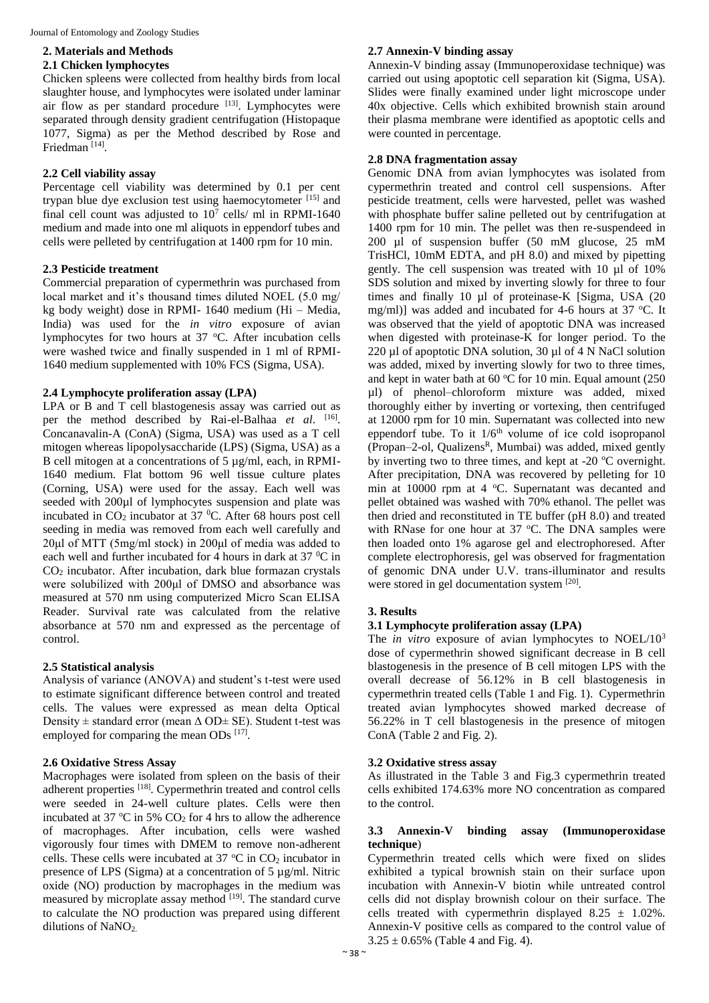#### **2. Materials and Methods 2.1 Chicken lymphocytes**

Chicken spleens were collected from healthy birds from local slaughter house, and lymphocytes were isolated under laminar air flow as per standard procedure [13]. Lymphocytes were separated through density gradient centrifugation (Histopaque 1077, Sigma) as per the Method described by Rose and Friedman<sup>[14]</sup>.

# **2.2 Cell viability assay**

Percentage cell viability was determined by 0.1 per cent trypan blue dye exclusion test using haemocytometer  $[15]$  and final cell count was adjusted to  $10^7$  cells/ ml in RPMI-1640 medium and made into one ml aliquots in eppendorf tubes and cells were pelleted by centrifugation at 1400 rpm for 10 min.

# **2.3 Pesticide treatment**

Commercial preparation of cypermethrin was purchased from local market and it's thousand times diluted NOEL (5.0 mg/ kg body weight) dose in RPMI- 1640 medium (Hi – Media, India) was used for the *in vitro* exposure of avian lymphocytes for two hours at 37 °C. After incubation cells were washed twice and finally suspended in 1 ml of RPMI-1640 medium supplemented with 10% FCS (Sigma, USA).

# **2.4 Lymphocyte proliferation assay (LPA)**

LPA or B and T cell blastogenesis assay was carried out as per the method described by Rai-el-Balhaa *et al*. [16] . Concanavalin-A (ConA) (Sigma, USA) was used as a T cell mitogen whereas lipopolysaccharide (LPS) (Sigma, USA) as a B cell mitogen at a concentrations of 5  $\mu$ g/ml, each, in RPMI-1640 medium. Flat bottom 96 well tissue culture plates (Corning, USA) were used for the assay. Each well was seeded with 200µl of lymphocytes suspension and plate was incubated in  $CO<sub>2</sub>$  incubator at 37 <sup>0</sup>C. After 68 hours post cell seeding in media was removed from each well carefully and 20μl of MTT (5mg/ml stock) in 200μl of media was added to each well and further incubated for 4 hours in dark at  $37 \,^0C$  in CO<sup>2</sup> incubator. After incubation, dark blue formazan crystals were solubilized with 200μl of DMSO and absorbance was measured at 570 nm using computerized Micro Scan ELISA Reader. Survival rate was calculated from the relative absorbance at 570 nm and expressed as the percentage of control.

### **2.5 Statistical analysis**

Analysis of variance (ANOVA) and student's t-test were used to estimate significant difference between control and treated cells. The values were expressed as mean delta Optical Density  $\pm$  standard error (mean  $\Delta$  OD $\pm$  SE). Student t-test was employed for comparing the mean ODs  $^{[17]}$ .

### **2.6 Oxidative Stress Assay**

Macrophages were isolated from spleen on the basis of their adherent properties [18]. Cypermethrin treated and control cells were seeded in 24-well culture plates. Cells were then incubated at 37  $\mathrm{^{\circ}C}$  in 5% CO<sub>2</sub> for 4 hrs to allow the adherence of macrophages. After incubation, cells were washed vigorously four times with DMEM to remove non-adherent cells. These cells were incubated at  $37 \degree C$  in  $CO_2$  incubator in presence of LPS (Sigma) at a concentration of 5 µg/ml. Nitric oxide (NO) production by macrophages in the medium was measured by microplate assay method [19]. The standard curve to calculate the NO production was prepared using different dilutions of  $NaNO<sub>2</sub>$ .

### **2.7 Annexin-V binding assay**

Annexin-V binding assay (Immunoperoxidase technique) was carried out using apoptotic cell separation kit (Sigma, USA). Slides were finally examined under light microscope under 40x objective. Cells which exhibited brownish stain around their plasma membrane were identified as apoptotic cells and were counted in percentage.

### **2.8 DNA fragmentation assay**

Genomic DNA from avian lymphocytes was isolated from cypermethrin treated and control cell suspensions. After pesticide treatment, cells were harvested, pellet was washed with phosphate buffer saline pelleted out by centrifugation at 1400 rpm for 10 min. The pellet was then re-suspendeed in 200 µl of suspension buffer (50 mM glucose, 25 mM TrisHCl, 10mM EDTA, and pH 8.0) and mixed by pipetting gently. The cell suspension was treated with 10 µl of 10% SDS solution and mixed by inverting slowly for three to four times and finally 10 µl of proteinase-K [Sigma, USA (20 mg/ml)] was added and incubated for 4-6 hours at  $37$  °C. It was observed that the yield of apoptotic DNA was increased when digested with proteinase-K for longer period. To the 220 µl of apoptotic DNA solution, 30 µl of 4 N NaCl solution was added, mixed by inverting slowly for two to three times, and kept in water bath at 60  $\degree$ C for 10 min. Equal amount (250 µl) of phenol–chloroform mixture was added, mixed thoroughly either by inverting or vortexing, then centrifuged at 12000 rpm for 10 min. Supernatant was collected into new eppendorf tube. To it  $1/6<sup>th</sup>$  volume of ice cold isopropanol (Propan–2-ol, Qualizens<sup>R</sup>, Mumbai) was added, mixed gently by inverting two to three times, and kept at  $-20$  °C overnight. After precipitation, DNA was recovered by pelleting for 10 min at  $10000$  rpm at  $4 \degree C$ . Supernatant was decanted and pellet obtained was washed with 70% ethanol. The pellet was then dried and reconstituted in TE buffer (pH 8.0) and treated with RNase for one hour at 37  $^{\circ}$ C. The DNA samples were then loaded onto 1% agarose gel and electrophoresed. After complete electrophoresis, gel was observed for fragmentation of genomic DNA under U.V. trans-illuminator and results were stored in gel documentation system [20].

# **3. Results**

# **3.1 Lymphocyte proliferation assay (LPA)**

The *in vitro* exposure of avian lymphocytes to NOEL/10<sup>3</sup> dose of cypermethrin showed significant decrease in B cell blastogenesis in the presence of B cell mitogen LPS with the overall decrease of 56.12% in B cell blastogenesis in cypermethrin treated cells (Table 1 and Fig. 1). Cypermethrin treated avian lymphocytes showed marked decrease of 56.22% in T cell blastogenesis in the presence of mitogen ConA (Table 2 and Fig. 2).

### **3.2 Oxidative stress assay**

As illustrated in the Table 3 and Fig.3 cypermethrin treated cells exhibited 174.63% more NO concentration as compared to the control.

#### **3.3 Annexin-V binding assay (Immunoperoxidase technique**)

Cypermethrin treated cells which were fixed on slides exhibited a typical brownish stain on their surface upon incubation with Annexin-V biotin while untreated control cells did not display brownish colour on their surface. The cells treated with cypermethrin displayed  $8.25 \pm 1.02\%$ . Annexin-V positive cells as compared to the control value of  $3.25 \pm 0.65\%$  (Table 4 and Fig. 4).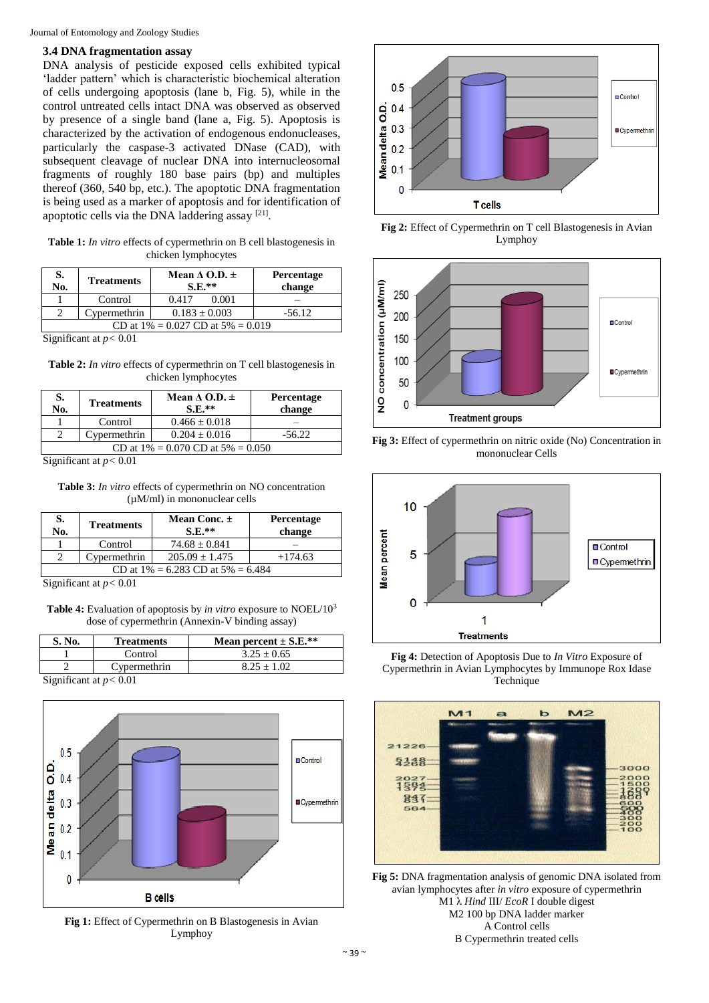Journal of Entomology and Zoology Studies

#### **3.4 DNA fragmentation assay**

DNA analysis of pesticide exposed cells exhibited typical 'ladder pattern' which is characteristic biochemical alteration of cells undergoing apoptosis (lane b, Fig. 5), while in the control untreated cells intact DNA was observed as observed by presence of a single band (lane a, Fig. 5). Apoptosis is characterized by the activation of endogenous endonucleases, particularly the caspase-3 activated DNase (CAD), with subsequent cleavage of nuclear DNA into internucleosomal fragments of roughly 180 base pairs (bp) and multiples thereof (360, 540 bp, etc.). The apoptotic DNA fragmentation is being used as a marker of apoptosis and for identification of apoptotic cells via the DNA laddering assay  $[21]$ .

**Table 1:** *In vitro* effects of cypermethrin on B cell blastogenesis in chicken lymphocytes

| S.<br>No.                               | <b>Treatments</b> | Mean $\triangle$ O.D. $\pm$<br>$S.E.**$ | Percentage<br>change |  |
|-----------------------------------------|-------------------|-----------------------------------------|----------------------|--|
|                                         | Control           | 0.417<br>0.001                          |                      |  |
|                                         | Cypermethrin      | $0.183 \pm 0.003$                       | $-56.12$             |  |
| CD at $1\% = 0.027$ CD at $5\% = 0.019$ |                   |                                         |                      |  |

Significant at  $p < 0.01$ 

**Table 2:** *In vitro* effects of cypermethrin on T cell blastogenesis in chicken lymphocytes

| S.<br>No.                               | <b>Treatments</b> | Mean $\triangle$ O.D. $\pm$<br>$S.E.**$ | Percentage<br>change |  |
|-----------------------------------------|-------------------|-----------------------------------------|----------------------|--|
|                                         | Control           | $0.466 \pm 0.018$                       |                      |  |
|                                         | Cypermethrin      | $0.204 \pm 0.016$                       | $-56.22$             |  |
| CD at $1\% = 0.070$ CD at $5\% = 0.050$ |                   |                                         |                      |  |

Significant at  $p < 0.01$ 

**Table 3:** *In vitro* effects of cypermethrin on NO concentration (µM/ml) in mononuclear cells

| S.<br>No.                               | <b>Treatments</b> | Mean Conc. $\pm$<br>$S.E.**$ | <b>Percentage</b><br>change |  |
|-----------------------------------------|-------------------|------------------------------|-----------------------------|--|
|                                         | Control           | $74.68 \pm 0.841$            |                             |  |
|                                         | Cypermethrin      | $205.09 \pm 1.475$           | $+174.63$                   |  |
| CD at $1\% = 6.283$ CD at $5\% = 6.484$ |                   |                              |                             |  |

Significant at  $p < 0.01$ 

**Table 4:** Evaluation of apoptosis by *in vitro* exposure to NOEL/10<sup>3</sup> dose of cypermethrin (Annexin-V binding assay)

| S. No.                                       | <b>Treatments</b> | Mean percent $\pm$ S.E.** |
|----------------------------------------------|-------------------|---------------------------|
|                                              | Control           | $3.25 + 0.65$             |
|                                              | Cypermethrin      | $8.25 + 1.02$             |
| $\alpha$ $\alpha$ $\alpha$ $\alpha$ $\alpha$ |                   |                           |

Significant at *p<* 0.01



**Fig 1:** Effect of Cypermethrin on B Blastogenesis in Avian Lymphoy



**Fig 2:** Effect of Cypermethrin on T cell Blastogenesis in Avian Lymphoy







**Fig 4:** Detection of Apoptosis Due to *In Vitro* Exposure of Cypermethrin in Avian Lymphocytes by Immunope Rox Idase Technique



**Fig 5:** DNA fragmentation analysis of genomic DNA isolated from avian lymphocytes after *in vitro* exposure of cypermethrin M1 λ *Hind* III/ *EcoR* I double digest M2 100 bp DNA ladder marker A Control cells B Cypermethrin treated cells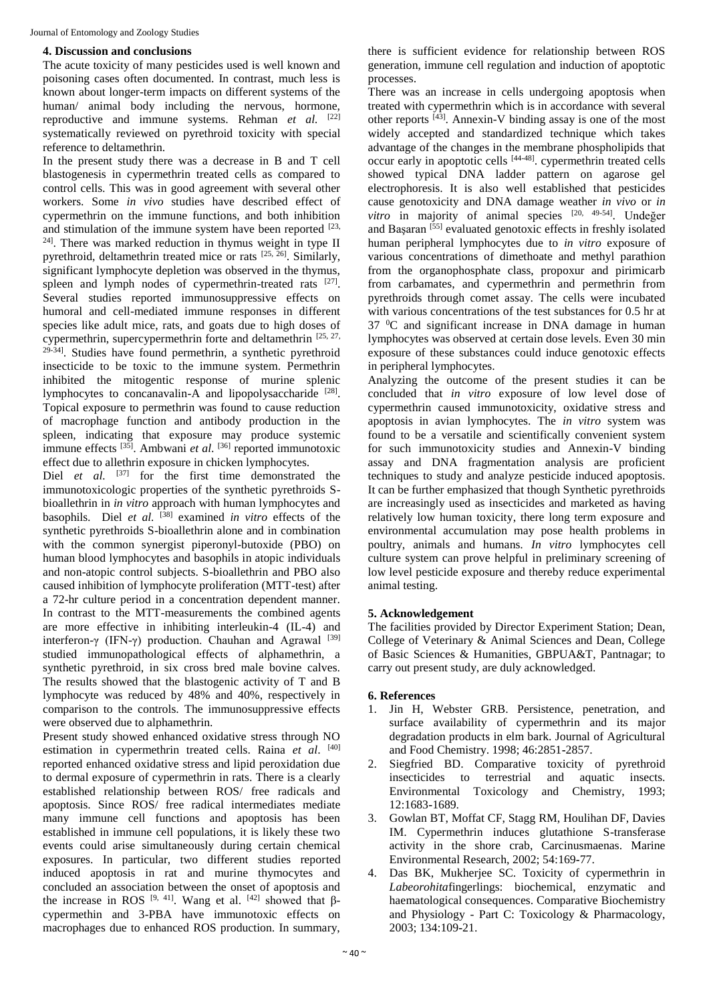#### **4. Discussion and conclusions**

The acute toxicity of many pesticides used is well known and poisoning cases often documented. In contrast, much less is known about longer-term impacts on different systems of the human/ animal body including the nervous, hormone, reproductive and immune systems. Rehman *et al.* <sup>[22]</sup> systematically reviewed on pyrethroid toxicity with special reference to deltamethrin.

In the present study there was a decrease in B and T cell blastogenesis in cypermethrin treated cells as compared to control cells. This was in good agreement with several other workers. Some *in vivo* studies have described effect of cypermethrin on the immune functions, and both inhibition and stimulation of the immune system have been reported [23, <sup>24]</sup>. There was marked reduction in thymus weight in type II pyrethroid, deltamethrin treated mice or rats  $[25, 26]$ . Similarly, significant lymphocyte depletion was observed in the thymus, spleen and lymph nodes of cypermethrin-treated rats  $[27]$ . Several studies reported immunosuppressive effects on humoral and cell-mediated immune responses in different species like adult mice, rats, and goats due to high doses of cypermethrin, supercypermethrin forte and deltamethrin [25, 27,  $29-34$ ]. Studies have found permethrin, a synthetic pyrethroid insecticide to be toxic to the immune system. Permethrin inhibited the mitogentic response of murine splenic lymphocytes to concanavalin-A and lipopolysaccharide [28]. Topical exposure to permethrin was found to cause reduction of macrophage function and antibody production in the spleen, indicating that exposure may produce systemic immune effects [35]. Ambwani *et al*. [36] reported immunotoxic effect due to allethrin exposure in chicken lymphocytes.

Diel *et al.* <sup>[37]</sup> for the first time demonstrated the immunotoxicologic properties of the synthetic pyrethroids Sbioallethrin in *in vitro* approach with human lymphocytes and basophils. Diel *et al.* [38] examined *in vitro* effects of the synthetic pyrethroids S-bioallethrin alone and in combination with the common synergist piperonyl-butoxide (PBO) on human blood lymphocytes and basophils in atopic individuals and non-atopic control subjects. S-bioallethrin and PBO also caused inhibition of lymphocyte proliferation (MTT-test) after a 72-hr culture period in a concentration dependent manner. In contrast to the MTT-measurements the combined agents are more effective in inhibiting interleukin-4 (IL-4) and interferon-γ (IFN-γ) production. Chauhan and Agrawal  $[39]$ studied immunopathological effects of alphamethrin, a synthetic pyrethroid, in six cross bred male bovine calves. The results showed that the blastogenic activity of T and B lymphocyte was reduced by 48% and 40%, respectively in comparison to the controls. The immunosuppressive effects were observed due to alphamethrin.

Present study showed enhanced oxidative stress through NO estimation in cypermethrin treated cells. Raina *et al*. [40] reported enhanced oxidative stress and lipid peroxidation due to dermal exposure of cypermethrin in rats. There is a clearly established relationship between ROS/ free radicals and apoptosis. Since ROS/ free radical intermediates mediate many immune cell functions and apoptosis has been established in immune cell populations, it is likely these two events could arise simultaneously during certain chemical exposures. In particular, two different studies reported induced apoptosis in rat and murine thymocytes and concluded an association between the onset of apoptosis and the increase in ROS  $[9, 41]$ . Wang et al.  $[42]$  showed that βcypermethin and 3-PBA have immunotoxic effects on macrophages due to enhanced ROS production. In summary,

there is sufficient evidence for relationship between ROS generation, immune cell regulation and induction of apoptotic processes.

There was an increase in cells undergoing apoptosis when treated with cypermethrin which is in accordance with several other reports [43]. Annexin-V binding assay is one of the most widely accepted and standardized technique which takes advantage of the changes in the membrane phospholipids that occur early in apoptotic cells [44-48]. cypermethrin treated cells showed typical DNA ladder pattern on agarose gel electrophoresis. It is also well established that pesticides cause genotoxicity and DNA damage weather *in vivo* or *in vitro* in majority of animal species [20, 49-54] . Undeğer and Başaran <a>[55]</a> evaluated genotoxic effects in freshly isolated human peripheral lymphocytes due to *in vitro* exposure of various concentrations of dimethoate and methyl parathion from the organophosphate class, propoxur and pirimicarb from carbamates, and cypermethrin and permethrin from pyrethroids through comet assay. The cells were incubated with various concentrations of the test substances for 0.5 hr at 37 <sup>0</sup>C and significant increase in DNA damage in human lymphocytes was observed at certain dose levels. Even 30 min exposure of these substances could induce genotoxic effects in peripheral lymphocytes.

Analyzing the outcome of the present studies it can be concluded that *in vitro* exposure of low level dose of cypermethrin caused immunotoxicity, oxidative stress and apoptosis in avian lymphocytes. The *in vitro* system was found to be a versatile and scientifically convenient system for such immunotoxicity studies and Annexin-V binding assay and DNA fragmentation analysis are proficient techniques to study and analyze pesticide induced apoptosis. It can be further emphasized that though Synthetic pyrethroids are increasingly used as insecticides and marketed as having relatively low human toxicity, there long term exposure and environmental accumulation may pose health problems in poultry, animals and humans. *In vitro* lymphocytes cell culture system can prove helpful in preliminary screening of low level pesticide exposure and thereby reduce experimental animal testing.

### **5. Acknowledgement**

The facilities provided by Director Experiment Station; Dean, College of Veterinary & Animal Sciences and Dean, College of Basic Sciences & Humanities, GBPUA&T, Pantnagar; to carry out present study, are duly acknowledged.

### **6. References**

- 1. Jin H, Webster GRB. Persistence, penetration, and surface availability of cypermethrin and its major degradation products in elm bark. Journal of Agricultural and Food Chemistry. 1998; 46:2851**-**2857.
- 2. Siegfried BD. Comparative toxicity of pyrethroid insecticides to terrestrial and aquatic insects. Environmental Toxicology and Chemistry, 1993; 12:1683**-**1689.
- 3. Gowlan BT, Moffat CF, Stagg RM, Houlihan DF, Davies IM. Cypermethrin induces glutathione S-transferase activity in the shore crab, Carcinusmaenas. Marine Environmental Research, 2002; 54:169**-**77.
- 4. Das BK, Mukherjee SC. Toxicity of cypermethrin in *Labeorohita*fingerlings: biochemical, enzymatic and haematological consequences. Comparative Biochemistry and Physiology - Part C: Toxicology & Pharmacology, 2003; 134:109**-**21.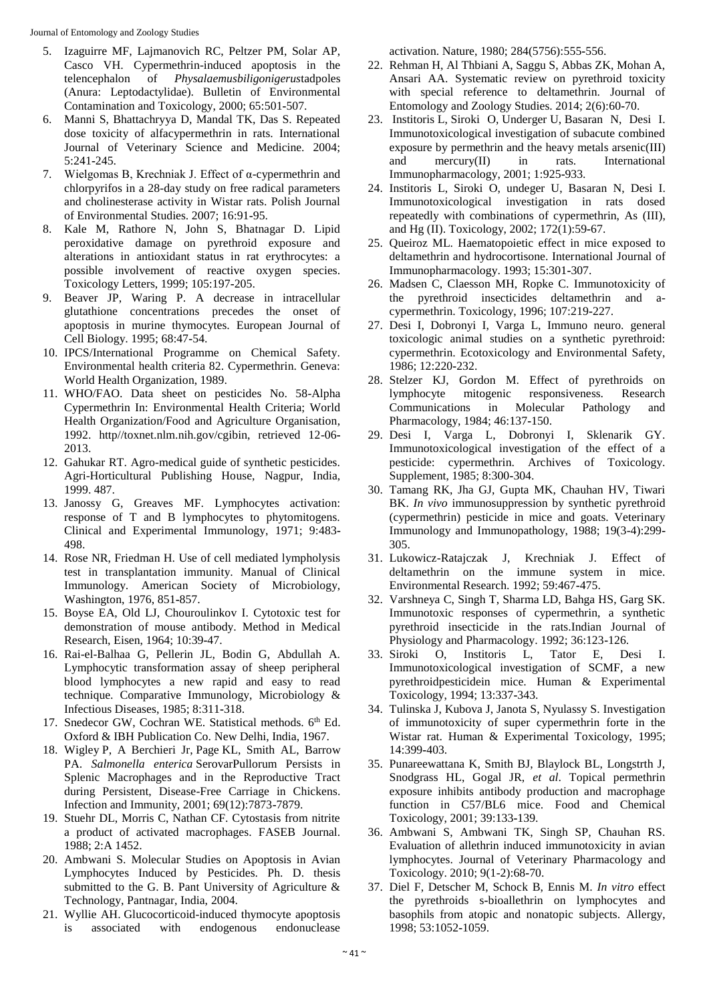Journal of Entomology and Zoology Studies

- 5. Izaguirre MF, Lajmanovich RC, Peltzer PM, Solar AP, Casco VH. Cypermethrin-induced apoptosis in the telencephalon of *Physalaemusbiligonigerus*tadpoles (Anura: Leptodactylidae). Bulletin of Environmental Contamination and Toxicology, 2000; 65:501**-**507.
- 6. Manni S, Bhattachryya D, Mandal TK, Das S. Repeated dose toxicity of alfacypermethrin in rats. International Journal of Veterinary Science and Medicine. 2004; 5:241**-**245.
- 7. Wielgomas B, Krechniak J. Effect of α-cypermethrin and chlorpyrifos in a 28-day study on free radical parameters and cholinesterase activity in Wistar rats. Polish Journal of Environmental Studies. 2007; 16:91**-**95.
- 8. Kale M, Rathore N, John S, Bhatnagar D. Lipid peroxidative damage on pyrethroid exposure and alterations in antioxidant status in rat erythrocytes: a possible involvement of reactive oxygen species. Toxicology Letters, 1999; 105:197**-**205.
- 9. Beaver JP, Waring P. A decrease in intracellular glutathione concentrations precedes the onset of apoptosis in murine thymocytes. European Journal of Cell Biology. 1995; 68:47**-**54.
- 10. IPCS/International Programme on Chemical Safety. Environmental health criteria 82. Cypermethrin. Geneva: World Health Organization, 1989.
- 11. WHO/FAO. Data sheet on pesticides No. 58-Alpha Cypermethrin In: Environmental Health Criteria; World Health Organization/Food and Agriculture Organisation, 1992. http//toxnet.nlm.nih.gov/cgibin, retrieved 12-06**-** 2013.
- 12. Gahukar RT. Agro-medical guide of synthetic pesticides. Agri-Horticultural Publishing House, Nagpur, India, 1999. 487.
- 13. Janossy G, Greaves MF. Lymphocytes activation: response of T and B lymphocytes to phytomitogens. Clinical and Experimental Immunology, 1971; 9:483**-** 498.
- 14. Rose NR, Friedman H. Use of cell mediated lympholysis test in transplantation immunity. Manual of Clinical Immunology. American Society of Microbiology, Washington, 1976, 851**-**857.
- 15. Boyse EA, Old LJ, Chouroulinkov I. Cytotoxic test for demonstration of mouse antibody. Method in Medical Research, Eisen, 1964; 10:39**-**47.
- 16. Rai-el-Balhaa G, Pellerin JL, Bodin G, Abdullah A. Lymphocytic transformation assay of sheep peripheral blood lymphocytes a new rapid and easy to read technique. Comparative Immunology, Microbiology & Infectious Diseases, 1985; 8:311**-**318.
- 17. Snedecor GW, Cochran WE. Statistical methods. 6<sup>th</sup> Ed. Oxford & IBH Publication Co. New Delhi, India, 1967.
- 18. Wigley P, A Berchieri Jr, Page KL, Smith AL, Barrow PA. *Salmonella enterica* SerovarPullorum Persists in Splenic Macrophages and in the Reproductive Tract during Persistent, Disease-Free Carriage in Chickens. Infection and Immunity, 2001; 69(12):7873**-**7879.
- 19. Stuehr DL, Morris C, Nathan CF. Cytostasis from nitrite a product of activated macrophages. FASEB Journal. 1988; 2:A 1452.
- 20. Ambwani S. Molecular Studies on Apoptosis in Avian Lymphocytes Induced by Pesticides. Ph. D. thesis submitted to the G. B. Pant University of Agriculture & Technology, Pantnagar, India, 2004.
- 21. Wyllie AH. Glucocorticoid-induced thymocyte apoptosis is associated with endogenous endonuclease

activation. Nature, 1980; 284(5756):555**-**556.

- 22. Rehman H, Al Thbiani A, Saggu S, Abbas ZK, Mohan A, Ansari AA. Systematic review on pyrethroid toxicity with special reference to deltamethrin. Journal of Entomology and Zoology Studies. 2014; 2(6):60**-**70.
- 23. Institoris L, Siroki O, Underger U, Basaran N, Desi I. Immunotoxicological investigation of subacute combined exposure by permethrin and the heavy metals arsenic(III) and mercury(II) in rats. International Immunopharmacology, 2001; 1:925**-**933.
- 24. Institoris L, Siroki O, undeger U, Basaran N, Desi I. Immunotoxicological investigation in rats dosed repeatedly with combinations of cypermethrin, As (III), and Hg (II). Toxicology, 2002; 172(1):59**-**67.
- 25. Queiroz ML. Haematopoietic effect in mice exposed to deltamethrin and hydrocortisone. International Journal of Immunopharmacology. 1993; 15:301**-**307.
- 26. Madsen C, Claesson MH, Ropke C. Immunotoxicity of the pyrethroid insecticides deltamethrin and acypermethrin. Toxicology, 1996; 107:219**-**227.
- 27. Desi I, Dobronyi I, Varga L, Immuno neuro. general toxicologic animal studies on a synthetic pyrethroid: cypermethrin. Ecotoxicology and Environmental Safety, 1986; 12:220**-**232.
- 28. Stelzer KJ, Gordon M. Effect of pyrethroids on lymphocyte mitogenic responsiveness. Research Communications in Molecular Pathology and Pharmacology, 1984; 46:137**-**150.
- 29. Desi I, Varga L, Dobronyi I, Sklenarik GY. Immunotoxicological investigation of the effect of a pesticide: cypermethrin. Archives of Toxicology. Supplement, 1985; 8:300**-**304.
- 30. Tamang RK, Jha GJ, Gupta MK, Chauhan HV, Tiwari BK. *In vivo* immunosuppression by synthetic pyrethroid (cypermethrin) pesticide in mice and goats. Veterinary Immunology and Immunopathology, 1988; 19(3-4):299**-** 305.
- 31. Lukowicz-Ratajczak J, Krechniak J. Effect of deltamethrin on the immune system in mice. Environmental Research. 1992; 59:467**-**475.
- 32. Varshneya C, Singh T, Sharma LD, Bahga HS, Garg SK. Immunotoxic responses of cypermethrin, a synthetic pyrethroid insecticide in the rats.Indian Journal of Physiology and Pharmacology. 1992; 36:123**-**126.
- 33. Siroki O, Institoris L, Tator E, Desi I. Immunotoxicological investigation of SCMF, a new pyrethroidpesticidein mice. Human & Experimental Toxicology, 1994; 13:337**-**343.
- 34. Tulinska J, Kubova J, Janota S, Nyulassy S. Investigation of immunotoxicity of super cypermethrin forte in the Wistar rat. Human & Experimental Toxicology, 1995; 14:399**-**403.
- 35. Punareewattana K, Smith BJ, Blaylock BL, Longstrth J, Snodgrass HL, Gogal JR, *et al*. Topical permethrin exposure inhibits antibody production and macrophage function in C57/BL6 mice. Food and Chemical Toxicology, 2001; 39:133**-**139.
- 36. Ambwani S, Ambwani TK, Singh SP, Chauhan RS. Evaluation of allethrin induced immunotoxicity in avian lymphocytes. Journal of Veterinary Pharmacology and Toxicology. 2010; 9(1-2):68**-**70.
- 37. Diel F, Detscher M, Schock B, Ennis M. *In vitro* effect the pyrethroids s**-**bioallethrin on lymphocytes and basophils from atopic and nonatopic subjects. Allergy, 1998; 53:1052**-**1059.